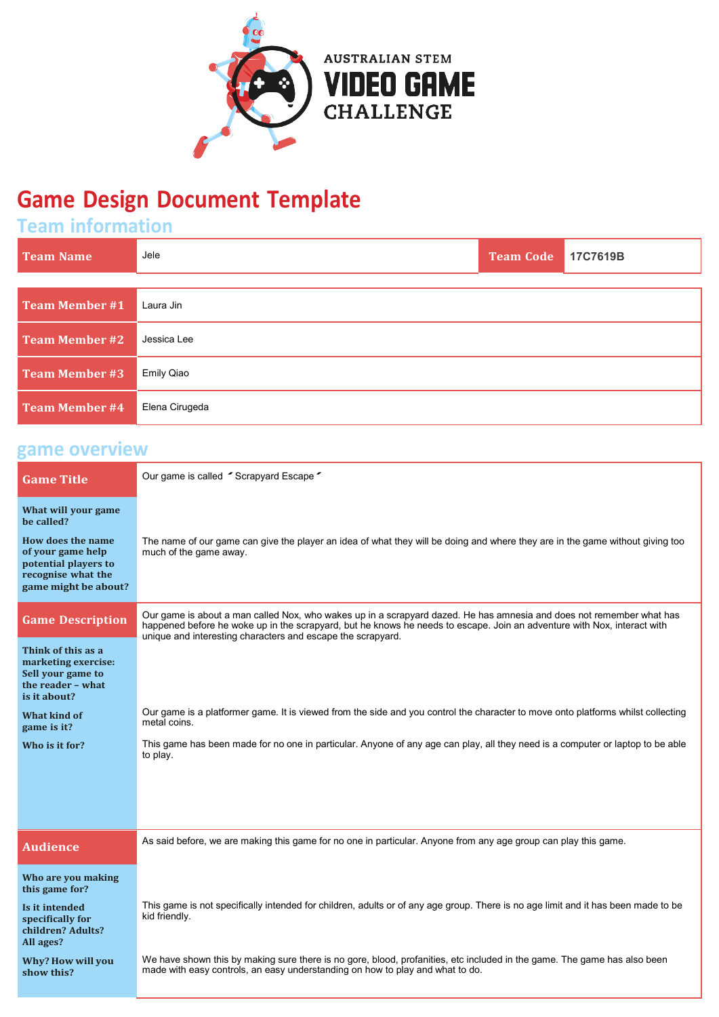

## **Game Design Document Template**

## **Team information**

| <b>Team Name</b>      | Jele              | <b>Team Code</b> | 17C7619B |
|-----------------------|-------------------|------------------|----------|
|                       |                   |                  |          |
| <b>Team Member #1</b> | Laura Jin         |                  |          |
| <b>Team Member #2</b> | Jessica Lee       |                  |          |
| <b>Team Member #3</b> | <b>Emily Qiao</b> |                  |          |
| <b>Team Member #4</b> | Elena Cirugeda    |                  |          |

| game overview                                                                                                |                                                                                                                                                                                                                                                                                                                |
|--------------------------------------------------------------------------------------------------------------|----------------------------------------------------------------------------------------------------------------------------------------------------------------------------------------------------------------------------------------------------------------------------------------------------------------|
| <b>Game Title</b>                                                                                            | Our game is called "Scrapyard Escape"                                                                                                                                                                                                                                                                          |
| What will your game<br>be called?                                                                            |                                                                                                                                                                                                                                                                                                                |
| How does the name<br>of your game help<br>potential players to<br>recognise what the<br>game might be about? | The name of our game can give the player an idea of what they will be doing and where they are in the game without giving too<br>much of the game away.                                                                                                                                                        |
| <b>Game Description</b>                                                                                      | Our game is about a man called Nox, who wakes up in a scrapyard dazed. He has amnesia and does not remember what has<br>happened before he woke up in the scrapyard, but he knows he needs to escape. Join an adventure with Nox, interact with<br>unique and interesting characters and escape the scrapyard. |
| Think of this as a<br>marketing exercise:<br>Sell your game to<br>the reader - what<br>is it about?          |                                                                                                                                                                                                                                                                                                                |
| <b>What kind of</b><br>game is it?                                                                           | Our game is a platformer game. It is viewed from the side and you control the character to move onto platforms whilst collecting<br>metal coins.                                                                                                                                                               |
| Who is it for?                                                                                               | This game has been made for no one in particular. Anyone of any age can play, all they need is a computer or laptop to be able<br>to play.                                                                                                                                                                     |
|                                                                                                              |                                                                                                                                                                                                                                                                                                                |
| <b>Audience</b>                                                                                              | As said before, we are making this game for no one in particular. Anyone from any age group can play this game.                                                                                                                                                                                                |
| Who are you making<br>this game for?                                                                         |                                                                                                                                                                                                                                                                                                                |
| Is it intended<br>specifically for<br>children? Adults?<br>All ages?                                         | This game is not specifically intended for children, adults or of any age group. There is no age limit and it has been made to be<br>kid friendly.                                                                                                                                                             |
| Why? How will you<br>show this?                                                                              | We have shown this by making sure there is no gore, blood, profanities, etc included in the game. The game has also been<br>made with easy controls, an easy understanding on how to play and what to do.                                                                                                      |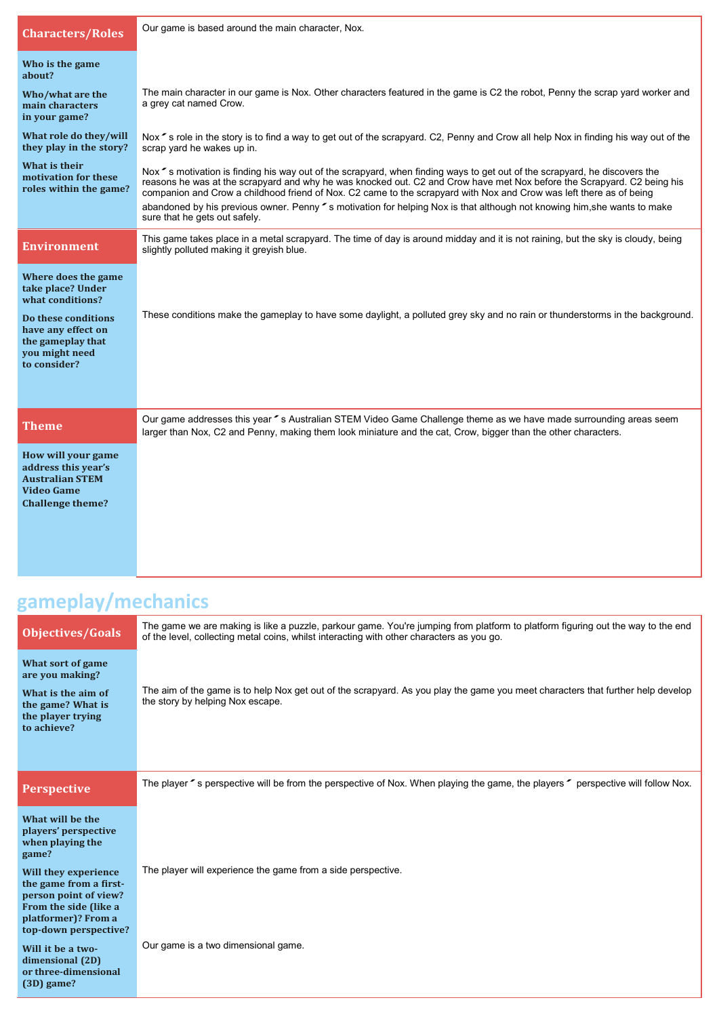| <b>Characters/Roles</b>                                                                                                                                          | Our game is based around the main character, Nox.                                                                                                                                                                                                                                                                                                                                                                                                                                                                                               |
|------------------------------------------------------------------------------------------------------------------------------------------------------------------|-------------------------------------------------------------------------------------------------------------------------------------------------------------------------------------------------------------------------------------------------------------------------------------------------------------------------------------------------------------------------------------------------------------------------------------------------------------------------------------------------------------------------------------------------|
| Who is the game<br>about?                                                                                                                                        |                                                                                                                                                                                                                                                                                                                                                                                                                                                                                                                                                 |
| Who/what are the<br>main characters<br>in your game?                                                                                                             | The main character in our game is Nox. Other characters featured in the game is C2 the robot, Penny the scrap yard worker and<br>a grey cat named Crow.                                                                                                                                                                                                                                                                                                                                                                                         |
| What role do they/will<br>they play in the story?                                                                                                                | Nox "s role in the story is to find a way to get out of the scrapyard. C2, Penny and Crow all help Nox in finding his way out of the<br>scrap yard he wakes up in.                                                                                                                                                                                                                                                                                                                                                                              |
| What is their<br>motivation for these<br>roles within the game?                                                                                                  | Nox $\sim$ s motivation is finding his way out of the scrapyard, when finding ways to get out of the scrapyard, he discovers the<br>reasons he was at the scrapyard and why he was knocked out. C2 and Crow have met Nox before the Scrapyard. C2 being his<br>companion and Crow a childhood friend of Nox. C2 came to the scrapyard with Nox and Crow was left there as of being<br>abandoned by his previous owner. Penny "s motivation for helping Nox is that although not knowing him, she wants to make<br>sure that he gets out safely. |
| <b>Environment</b>                                                                                                                                               | This game takes place in a metal scrapyard. The time of day is around midday and it is not raining, but the sky is cloudy, being<br>slightly polluted making it greyish blue.                                                                                                                                                                                                                                                                                                                                                                   |
| Where does the game<br>take place? Under<br>what conditions?<br>Do these conditions<br>have any effect on<br>the gameplay that<br>you might need<br>to consider? | These conditions make the gameplay to have some daylight, a polluted grey sky and no rain or thunderstorms in the background.                                                                                                                                                                                                                                                                                                                                                                                                                   |
| <b>Theme</b>                                                                                                                                                     | Our game addresses this year " s Australian STEM Video Game Challenge theme as we have made surrounding areas seem<br>larger than Nox, C2 and Penny, making them look miniature and the cat, Crow, bigger than the other characters.                                                                                                                                                                                                                                                                                                            |
| How will your game<br>address this year's<br><b>Australian STEM</b><br><b>Video Game</b><br><b>Challenge theme?</b>                                              |                                                                                                                                                                                                                                                                                                                                                                                                                                                                                                                                                 |

# **gameplay/mechanics**

| Objectives/Goals                                                                                                                                 | The game we are making is like a puzzle, parkour game. You're jumping from platform to platform figuring out the way to the end<br>of the level, collecting metal coins, whilst interacting with other characters as you go. |
|--------------------------------------------------------------------------------------------------------------------------------------------------|------------------------------------------------------------------------------------------------------------------------------------------------------------------------------------------------------------------------------|
| What sort of game<br>are you making?                                                                                                             |                                                                                                                                                                                                                              |
| What is the aim of<br>the game? What is<br>the player trying<br>to achieve?                                                                      | The aim of the game is to help Nox get out of the scrapyard. As you play the game you meet characters that further help develop<br>the story by helping Nox escape.                                                          |
|                                                                                                                                                  |                                                                                                                                                                                                                              |
| <b>Perspective</b>                                                                                                                               | The player " s perspective will be from the perspective of Nox. When playing the game, the players " perspective will follow Nox.                                                                                            |
| What will be the<br>players' perspective<br>when playing the<br>game?                                                                            |                                                                                                                                                                                                                              |
| Will they experience<br>the game from a first-<br>person point of view?<br>From the side (like a<br>platformer)? From a<br>top-down perspective? | The player will experience the game from a side perspective.                                                                                                                                                                 |
| Will it be a two-<br>dimensional (2D)<br>or three-dimensional<br>(3D) game?                                                                      | Our game is a two dimensional game.                                                                                                                                                                                          |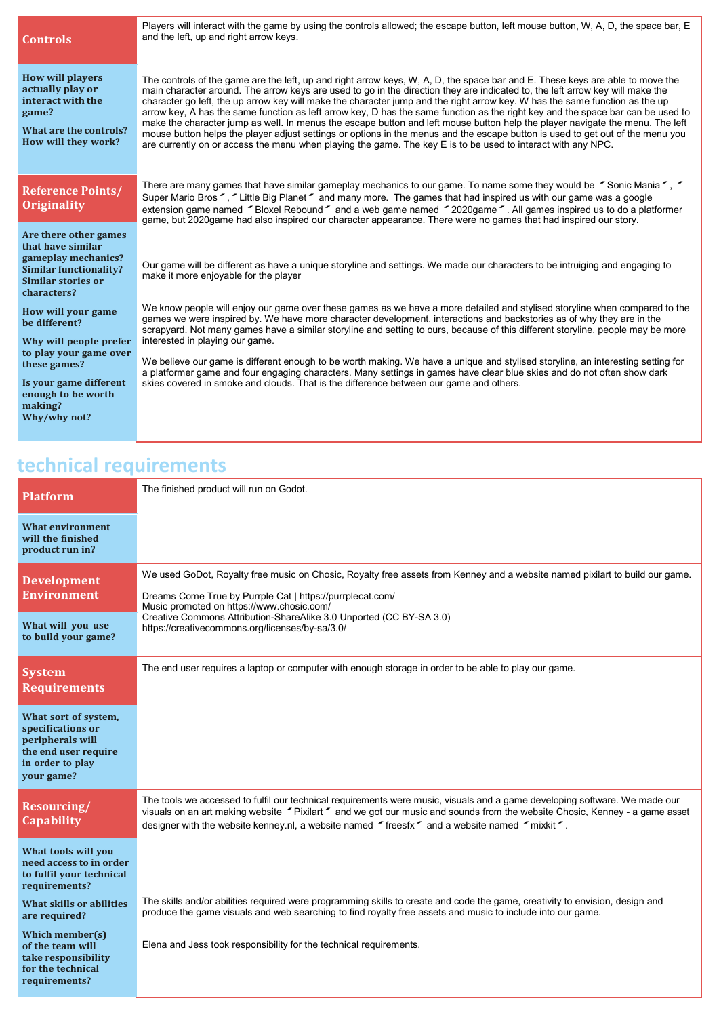| <b>Controls</b>                                                                                                                         | Players will interact with the game by using the controls allowed; the escape button, left mouse button, W, A, D, the space bar, E<br>and the left, up and right arrow keys.                                                                                                                                                                                                                                                                                                                                                                                                                                                                                                                                                                                                                                                                                                                                        |
|-----------------------------------------------------------------------------------------------------------------------------------------|---------------------------------------------------------------------------------------------------------------------------------------------------------------------------------------------------------------------------------------------------------------------------------------------------------------------------------------------------------------------------------------------------------------------------------------------------------------------------------------------------------------------------------------------------------------------------------------------------------------------------------------------------------------------------------------------------------------------------------------------------------------------------------------------------------------------------------------------------------------------------------------------------------------------|
| <b>How will players</b><br>actually play or<br>interact with the<br>game?<br>What are the controls?<br>How will they work?              | The controls of the game are the left, up and right arrow keys, W, A, D, the space bar and E. These keys are able to move the<br>main character around. The arrow keys are used to go in the direction they are indicated to, the left arrow key will make the<br>character go left, the up arrow key will make the character jump and the right arrow key. W has the same function as the up<br>arrow key, A has the same function as left arrow key, D has the same function as the right key and the space bar can be used to<br>make the character jump as well. In menus the escape button and left mouse button help the player navigate the menu. The left<br>mouse button helps the player adjust settings or options in the menus and the escape button is used to get out of the menu you<br>are currently on or access the menu when playing the game. The key E is to be used to interact with any NPC. |
| <b>Reference Points/</b><br><b>Originality</b>                                                                                          | There are many games that have similar gameplay mechanics to our game. To name some they would be $\sim$ Sonic Mania $\sim$ , $\sim$<br>Super Mario Bros ", "Little Big Planet" and many more. The games that had inspired us with our game was a google<br>extension game named "Bloxel Rebound" and a web game named "2020 game". All games inspired us to do a platformer<br>game, but 2020game had also inspired our character appearance. There were no games that had inspired our story.                                                                                                                                                                                                                                                                                                                                                                                                                     |
| Are there other games<br>that have similar<br>gameplay mechanics?<br><b>Similar functionality?</b><br>Similar stories or<br>characters? | Our game will be different as have a unique storyline and settings. We made our characters to be intruiging and engaging to<br>make it more enjoyable for the player                                                                                                                                                                                                                                                                                                                                                                                                                                                                                                                                                                                                                                                                                                                                                |
| How will your game<br>be different?<br>Why will people prefer                                                                           | We know people will enjoy our game over these games as we have a more detailed and stylised storyline when compared to the<br>games we were inspired by. We have more character development, interactions and backstories as of why they are in the<br>scrapyard. Not many games have a similar storyline and setting to ours, because of this different storyline, people may be more<br>interested in playing our game.                                                                                                                                                                                                                                                                                                                                                                                                                                                                                           |
| to play your game over<br>these games?<br>Is your game different<br>enough to be worth<br>making?<br>Why/why not?                       | We believe our game is different enough to be worth making. We have a unique and stylised storyline, an interesting setting for<br>a platformer game and four engaging characters. Many settings in games have clear blue skies and do not often show dark<br>skies covered in smoke and clouds. That is the difference between our game and others.                                                                                                                                                                                                                                                                                                                                                                                                                                                                                                                                                                |

## **technical requirements**

| <b>Platform</b>                                                                                                         | The finished product will run on Godot.                                                                                                                                                                                                                                                                                                                  |
|-------------------------------------------------------------------------------------------------------------------------|----------------------------------------------------------------------------------------------------------------------------------------------------------------------------------------------------------------------------------------------------------------------------------------------------------------------------------------------------------|
| What environment<br>will the finished<br>product run in?                                                                |                                                                                                                                                                                                                                                                                                                                                          |
| <b>Development</b><br><b>Environment</b>                                                                                | We used GoDot, Royalty free music on Chosic, Royalty free assets from Kenney and a website named pixilart to build our game.<br>Dreams Come True by Purrple Cat   https://purrplecat.com/<br>Music promoted on https://www.chosic.com/                                                                                                                   |
| What will you use<br>to build your game?                                                                                | Creative Commons Attribution-ShareAlike 3.0 Unported (CC BY-SA 3.0)<br>https://creativecommons.org/licenses/by-sa/3.0/                                                                                                                                                                                                                                   |
| <b>System</b><br><b>Requirements</b>                                                                                    | The end user requires a laptop or computer with enough storage in order to be able to play our game.                                                                                                                                                                                                                                                     |
| What sort of system,<br>specifications or<br>peripherals will<br>the end user require<br>in order to play<br>vour game? |                                                                                                                                                                                                                                                                                                                                                          |
| <b>Resourcing/</b><br><b>Capability</b>                                                                                 | The tools we accessed to fulfil our technical requirements were music, visuals and a game developing software. We made our<br>visuals on an art making website "Pixilart" and we got our music and sounds from the website Chosic, Kenney - a game asset<br>designer with the website kenney.nl, a website named "freesfx" and a website named "mixkit". |
| What tools will you<br>need access to in order<br>to fulfil your technical<br>requirements?                             |                                                                                                                                                                                                                                                                                                                                                          |
| <b>What skills or abilities</b><br>are required?                                                                        | The skills and/or abilities required were programming skills to create and code the game, creativity to envision, design and<br>produce the game visuals and web searching to find royalty free assets and music to include into our game.                                                                                                               |
| Which member(s)<br>of the team will<br>take responsibility<br>for the technical<br>requirements?                        | Elena and Jess took responsibility for the technical requirements.                                                                                                                                                                                                                                                                                       |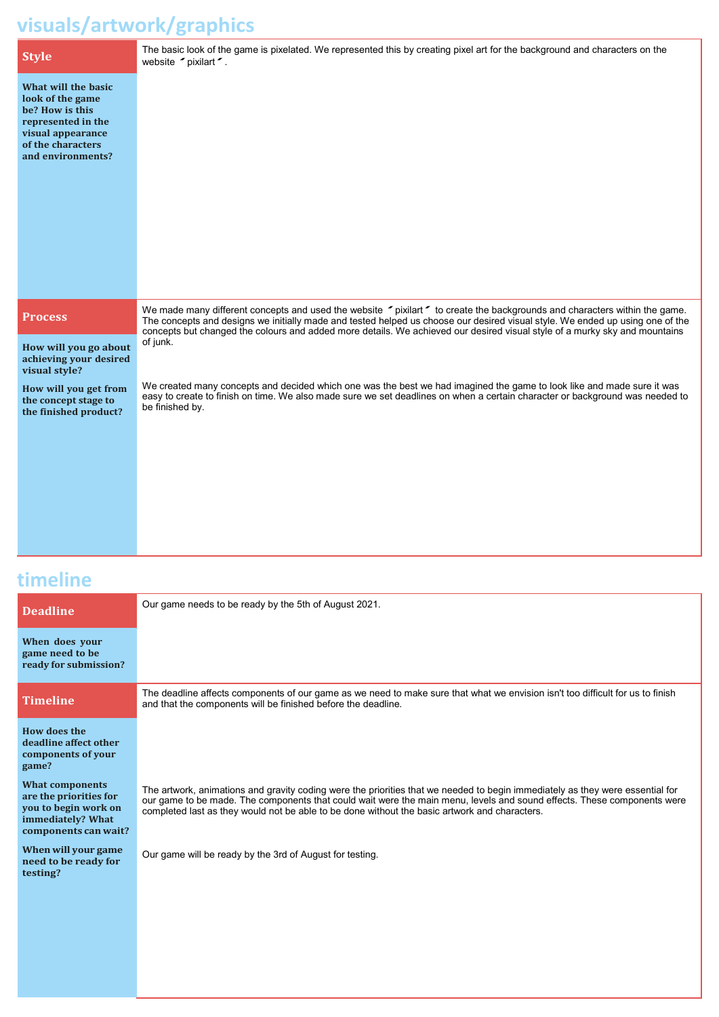#### **visuals/artwork/graphics**

|                                                                                                                                                 | The basic look of the game is pixelated. We represented this by creating pixel art for the background and characters on the                                                                                                                                               |
|-------------------------------------------------------------------------------------------------------------------------------------------------|---------------------------------------------------------------------------------------------------------------------------------------------------------------------------------------------------------------------------------------------------------------------------|
| <b>Style</b>                                                                                                                                    | website pixilart .                                                                                                                                                                                                                                                        |
| What will the basic<br>look of the game<br>be? How is this<br>represented in the<br>visual appearance<br>of the characters<br>and environments? |                                                                                                                                                                                                                                                                           |
| <b>Process</b>                                                                                                                                  | We made many different concepts and used the website "pixilart" to create the backgrounds and characters within the game.                                                                                                                                                 |
|                                                                                                                                                 | The concepts and designs we initially made and tested helped us choose our desired visual style. We ended up using one of the<br>concepts but changed the colours and added more details. We achieved our desired visual style of a murky sky and mountains               |
| How will you go about<br>achieving your desired<br>visual style?                                                                                | of junk.                                                                                                                                                                                                                                                                  |
| How will you get from<br>the concept stage to<br>the finished product?                                                                          | We created many concepts and decided which one was the best we had imagined the game to look like and made sure it was<br>easy to create to finish on time. We also made sure we set deadlines on when a certain character or background was needed to<br>be finished by. |
|                                                                                                                                                 |                                                                                                                                                                                                                                                                           |

### **timeline**

| <b>Deadline</b>                                                                                                       | Our game needs to be ready by the 5th of August 2021.                                                                                                                                                                                                                                                                                                     |
|-----------------------------------------------------------------------------------------------------------------------|-----------------------------------------------------------------------------------------------------------------------------------------------------------------------------------------------------------------------------------------------------------------------------------------------------------------------------------------------------------|
| When does your<br>game need to be<br>ready for submission?                                                            |                                                                                                                                                                                                                                                                                                                                                           |
| <b>Timeline</b>                                                                                                       | The deadline affects components of our game as we need to make sure that what we envision isn't too difficult for us to finish<br>and that the components will be finished before the deadline.                                                                                                                                                           |
| How does the<br>deadline affect other<br>components of your<br>game?                                                  |                                                                                                                                                                                                                                                                                                                                                           |
| <b>What components</b><br>are the priorities for<br>you to begin work on<br>immediately? What<br>components can wait? | The artwork, animations and gravity coding were the priorities that we needed to begin immediately as they were essential for<br>our game to be made. The components that could wait were the main menu, levels and sound effects. These components were<br>completed last as they would not be able to be done without the basic artwork and characters. |
| When will your game<br>need to be ready for<br>testing?                                                               | Our game will be ready by the 3rd of August for testing.                                                                                                                                                                                                                                                                                                  |
|                                                                                                                       |                                                                                                                                                                                                                                                                                                                                                           |